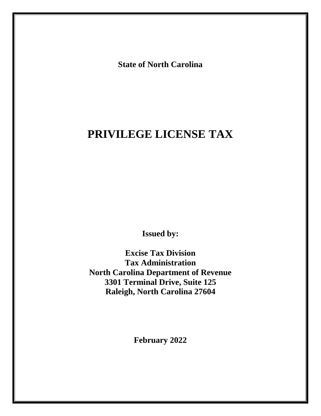**State of North Carolina**

# **PRIVILEGE LICENSE TAX**

**Issued by:**

**Excise Tax Division Tax Administration North Carolina Department of Revenue 3301 Terminal Drive, Suite 125 Raleigh, North Carolina 27604**

**February 2022**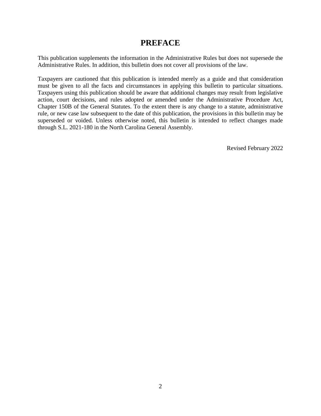# **PREFACE**

This publication supplements the information in the Administrative Rules but does not supersede the Administrative Rules. In addition, this bulletin does not cover all provisions of the law.

Taxpayers are cautioned that this publication is intended merely as a guide and that consideration must be given to all the facts and circumstances in applying this bulletin to particular situations. Taxpayers using this publication should be aware that additional changes may result from legislative action, court decisions, and rules adopted or amended under the Administrative Procedure Act, Chapter 150B of the General Statutes. To the extent there is any change to a statute, administrative rule, or new case law subsequent to the date of this publication, the provisions in this bulletin may be superseded or voided. Unless otherwise noted, this bulletin is intended to reflect changes made through S.L. 2021-180 in the North Carolina General Assembly.

Revised February 2022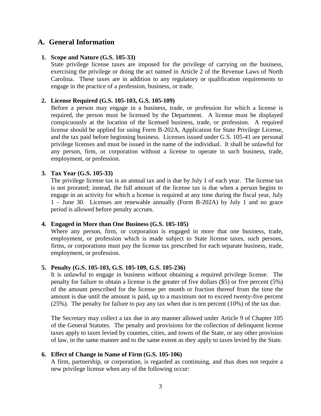# **A. General Information**

# **1. Scope and Nature (G.S. 105-33)**

State privilege license taxes are imposed for the privilege of carrying on the business, exercising the privilege or doing the act named in Article 2 of the Revenue Laws of North Carolina. These taxes are in addition to any regulatory or qualification requirements to engage in the practice of a profession, business, or trade.

#### **2. License Required (G.S. 105-103, G.S. 105-109)**

Before a person may engage in a business, trade, or profession for which a license is required, the person must be licensed by the Department. A license must be displayed conspicuously at the location of the licensed business, trade, or profession. A required license should be applied for using Form B-202A, Application for State Privilege License, and the tax paid before beginning business. Licenses issued under G.S. 105-41 are personal privilege licenses and must be issued in the name of the individual. It shall be unlawful for any person, firm, or corporation without a license to operate in such business, trade, employment, or profession.

#### **3. Tax Year (G.S. 105-33)**

The privilege license tax is an annual tax and is due by July 1 of each year. The license tax is not prorated; instead, the full amount of the license tax is due when a person begins to engage in an activity for which a license is required at any time during the fiscal year, July 1 – June 30. Licenses are renewable annually (Form B-202A) by July 1 and no grace period is allowed before penalty accrues.

#### **4. Engaged in More than One Business (G.S. 105-105)**

Where any person, firm, or corporation is engaged in more that one business, trade, employment, or profession which is made subject to State license taxes, such persons, firms, or corporations must pay the license tax prescribed for each separate business, trade, employment, or profession.

# **5. Penalty (G.S. 105-103, G.S. 105-109, G.S. 105-236)**

It is unlawful to engage in business without obtaining a required privilege license. The penalty for failure to obtain a license is the greater of five dollars (\$5) or five percent (5%) of the amount prescribed for the license per month or fraction thereof from the time the amount is due until the amount is paid, up to a maximum not to exceed twenty-five percent (25%). The penalty for failure to pay any tax when due is ten percent (10%) of the tax due.

The Secretary may collect a tax due in any manner allowed under Article 9 of Chapter 105 of the General Statutes. The penalty and provisions for the collection of delinquent license taxes apply to taxes levied by counties, cities, and towns of the State, or any other provision of law, in the same manner and to the same extent as they apply to taxes levied by the State.

#### **6. Effect of Change in Name of Firm (G.S. 105-106)**

A firm, partnership, or corporation, is regarded as continuing, and thus does not require a new privilege license when any of the following occur: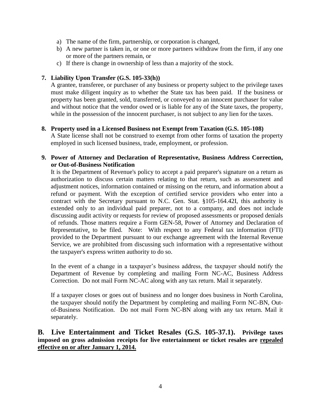- a) The name of the firm, partnership, or corporation is changed,
- b) A new partner is taken in, or one or more partners withdraw from the firm, if any one or more of the partners remain, or
- c) If there is change in ownership of less than a majority of the stock.

# **7. Liability Upon Transfer (G.S. 105-33(h))**

A grantee, transferee, or purchaser of any business or property subject to the privilege taxes must make diligent inquiry as to whether the State tax has been paid. If the business or property has been granted, sold, transferred, or conveyed to an innocent purchaser for value and without notice that the vendor owed or is liable for any of the State taxes, the property, while in the possession of the innocent purchaser, is not subject to any lien for the taxes.

# **8. Property used in a Licensed Business not Exempt from Taxation (G.S. 105-108)**

A State license shall not be construed to exempt from other forms of taxation the property employed in such licensed business, trade, employment, or profession.

# **9. Power of Attorney and Declaration of Representative, Business Address Correction, or Out-of-Business Notification**

It is the Department of Revenue's policy to accept a paid preparer's signature on a return as authorization to discuss certain matters relating to that return, such as assessment and adjustment notices, information contained or missing on the return, and information about a refund or payment. With the exception of certified service providers who enter into a contract with the Secretary pursuant to N.C. Gen. Stat. §105-164.42I, this authority is extended only to an individual paid preparer, not to a company, and does not include discussing audit activity or requests for review of proposed assessments or proposed denials of refunds. Those matters require a Form GEN-58, Power of Attorney and Declaration of Representative, to be filed. Note: With respect to any Federal tax information (FTI) provided to the Department pursuant to our exchange agreement with the Internal Revenue Service, we are prohibited from discussing such information with a representative without the taxpayer's express written authority to do so.

In the event of a change in a taxpayer's business address, the taxpayer should notify the Department of Revenue by completing and mailing Form NC-AC, Business Address Correction. Do not mail Form NC-AC along with any tax return. Mail it separately.

If a taxpayer closes or goes out of business and no longer does business in North Carolina, the taxpayer should notify the Department by completing and mailing Form NC-BN, Outof-Business Notification. Do not mail Form NC-BN along with any tax return. Mail it separately.

# **B. Live Entertainment and Ticket Resales (G.S. 105-37.1). Privilege taxes imposed on gross admission receipts for live entertainment or ticket resales are repealed effective on or after January 1, 2014.**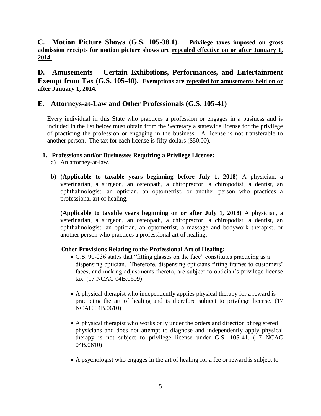**C. Motion Picture Shows (G.S. 105-38.1). Privilege taxes imposed on gross admission receipts for motion picture shows are repealed effective on or after January 1, 2014.**

**D. Amusements – Certain Exhibitions, Performances, and Entertainment Exempt from Tax (G.S. 105-40). Exemptions are repealed for amusements held on or after January 1, 2014.**

# **E. Attorneys-at-Law and Other Professionals (G.S. 105-41)**

Every individual in this State who practices a profession or engages in a business and is included in the list below must obtain from the Secretary a statewide license for the privilege of practicing the profession or engaging in the business. A license is not transferable to another person. The tax for each license is fifty dollars (\$50.00).

# **1. Professions and/or Businesses Requiring a Privilege License:**

- a) An attorney-at-law.
- b) **(Applicable to taxable years beginning before July 1, 2018)** A physician, a veterinarian, a surgeon, an osteopath, a chiropractor, a chiropodist, a dentist, an ophthalmologist, an optician, an optometrist, or another person who practices a professional art of healing.

**(Applicable to taxable years beginning on or after July 1, 2018)** A physician, a veterinarian, a surgeon, an osteopath, a chiropractor, a chiropodist, a dentist, an ophthalmologist, an optician, an optometrist, a massage and bodywork therapist, or another person who practices a professional art of healing.

# **Other Provisions Relating to the Professional Art of Healing:**

- G.S. 90-236 states that "fitting glasses on the face" constitutes practicing as a dispensing optician. Therefore, dispensing opticians fitting frames to customers' faces, and making adjustments thereto, are subject to optician's privilege license tax. (17 NCAC 04B.0609)
- A physical therapist who independently applies physical therapy for a reward is practicing the art of healing and is therefore subject to privilege license. (17 NCAC 04B.0610)
- A physical therapist who works only under the orders and direction of registered physicians and does not attempt to diagnose and independently apply physical therapy is not subject to privilege license under G.S. 105-41. (17 NCAC 04B.0610)
- A psychologist who engages in the art of healing for a fee or reward is subject to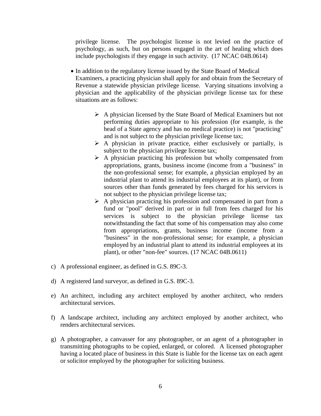privilege license. The psychologist license is not levied on the practice of psychology, as such, but on persons engaged in the art of healing which does include psychologists if they engage in such activity. (17 NCAC 04B.0614)

- In addition to the regulatory license issued by the State Board of Medical Examiners, a practicing physician shall apply for and obtain from the Secretary of Revenue a statewide physician privilege license. Varying situations involving a physician and the applicability of the physician privilege license tax for these situations are as follows:
	- $\triangleright$  A physician licensed by the State Board of Medical Examiners but not performing duties appropriate to his profession (for example, is the head of a State agency and has no medical practice) is not "practicing" and is not subject to the physician privilege license tax;
	- $\triangleright$  A physician in private practice, either exclusively or partially, is subject to the physician privilege license tax;
	- $\triangleright$  A physician practicing his profession but wholly compensated from appropriations, grants, business income (income from a "business" in the non-professional sense; for example, a physician employed by an industrial plant to attend its industrial employees at its plant), or from sources other than funds generated by fees charged for his services is not subject to the physician privilege license tax;
	- $\triangleright$  A physician practicing his profession and compensated in part from a fund or "pool" derived in part or in full from fees charged for his services is subject to the physician privilege license tax notwithstanding the fact that some of his compensation may also come from appropriations, grants, business income (income from a "business" in the non-professional sense; for example, a physician employed by an industrial plant to attend its industrial employees at its plant), or other "non-fee" sources. (17 NCAC 04B.0611)
- c) A professional engineer, as defined in G.S. 89C-3.
- d) A registered land surveyor, as defined in G.S. 89C-3.
- e) An architect, including any architect employed by another architect, who renders architectural services.
- f) A landscape architect, including any architect employed by another architect, who renders architectural services.
- g) A photographer, a canvasser for any photographer, or an agent of a photographer in transmitting photographs to be copied, enlarged, or colored. A licensed photographer having a located place of business in this State is liable for the license tax on each agent or solicitor employed by the photographer for soliciting business.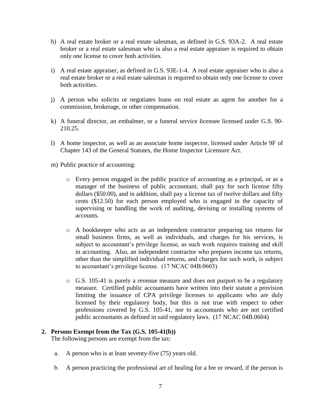- h) A real estate broker or a real estate salesman, as defined in G.S. 93A-2. A real estate broker or a real estate salesman who is also a real estate appraiser is required to obtain only one license to cover both activities.
- i) A real estate appraiser, as defined in G.S. 93E-1-4. A real estate appraiser who is also a real estate broker or a real estate salesman is required to obtain only one license to cover both activities.
- j) A person who solicits or negotiates loans on real estate as agent for another for a commission, brokerage, or other compensation.
- k) A funeral director, an embalmer, or a funeral service licensee licensed under G.S. 90- 210.25.
- l) A home inspector, as well as an associate home inspector, licensed under Article 9F of Chapter 143 of the General Statutes, the Home Inspector Licensure Act.
- m) Public practice of accounting:
	- o Every person engaged in the public practice of accounting as a principal, or as a manager of the business of public accountant, shall pay for such license fifty dollars (\$50.00), and in addition, shall pay a license tax of twelve dollars and fifty cents (\$12.50) for each person employed who is engaged in the capacity of supervising or handling the work of auditing, devising or installing systems of accounts.
	- o A bookkeeper who acts as an independent contractor preparing tax returns for small business firms, as well as individuals, and charges for his services, is subject to accountant's privilege license, as such work requires training and skill in accounting. Also, an independent contractor who prepares income tax returns, other than the simplified individual returns, and charges for such work, is subject to accountant's privilege license. (17 NCAC 04B.0603)
	- $\circ$  G.S. 105-41 is purely a revenue measure and does not purport to be a regulatory measure. Certified public accountants have written into their statute a provision limiting the issuance of CPA privilege licenses to applicants who are duly licensed by their regulatory body, but this is not true with respect to other professions covered by G.S. 105-41, nor to accountants who are not certified public accountants as defined in said regulatory laws. (17 NCAC 04B.0604)

#### **2. Persons Exempt from the Tax (G.S. 105-41(b))**

The following persons are exempt from the tax:

- a. A person who is at least seventy-five (75) years old.
- b. A person practicing the professional art of healing for a fee or reward, if the person is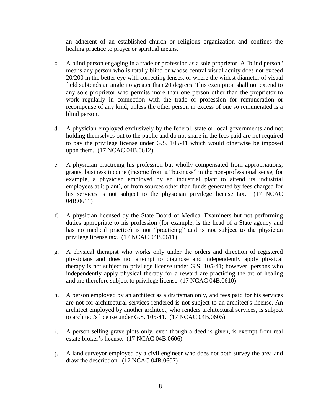an adherent of an established church or religious organization and confines the healing practice to prayer or spiritual means.

- c. A blind person engaging in a trade or profession as a sole proprietor. A "blind person" means any person who is totally blind or whose central visual acuity does not exceed 20/200 in the better eye with correcting lenses, or where the widest diameter of visual field subtends an angle no greater than 20 degrees. This exemption shall not extend to any sole proprietor who permits more than one person other than the proprietor to work regularly in connection with the trade or profession for remuneration or recompense of any kind, unless the other person in excess of one so remunerated is a blind person.
- d. A physician employed exclusively by the federal, state or local governments and not holding themselves out to the public and do not share in the fees paid are not required to pay the privilege license under G.S. 105-41 which would otherwise be imposed upon them. (17 NCAC 04B.0612)
- e. A physician practicing his profession but wholly compensated from appropriations, grants, business income (income from a "business" in the non-professional sense; for example, a physician employed by an industrial plant to attend its industrial employees at it plant), or from sources other than funds generated by fees charged for his services is not subject to the physician privilege license tax. (17 NCAC) 04B.0611)
- f. A physician licensed by the State Board of Medical Examiners but not performing duties appropriate to his profession (for example, is the head of a State agency and has no medical practice) is not "practicing" and is not subject to the physician privilege license tax. (17 NCAC 04B.0611)
- g. A physical therapist who works only under the orders and direction of registered physicians and does not attempt to diagnose and independently apply physical therapy is not subject to privilege license under G.S. 105-41; however, persons who independently apply physical therapy for a reward are practicing the art of healing and are therefore subject to privilege license. (17 NCAC 04B.0610)
- h. A person employed by an architect as a draftsman only, and fees paid for his services are not for architectural services rendered is not subject to an architect's license. An architect employed by another architect, who renders architectural services, is subject to architect's license under G.S. 105-41. (17 NCAC 04B.0605)
- i. A person selling grave plots only, even though a deed is given, is exempt from real estate broker's license. (17 NCAC 04B.0606)
- j. A land surveyor employed by a civil engineer who does not both survey the area and draw the description. (17 NCAC 04B.0607)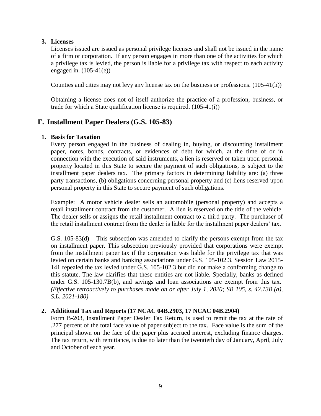# **3. Licenses**

Licenses issued are issued as personal privilege licenses and shall not be issued in the name of a firm or corporation. If any person engages in more than one of the activities for which a privilege tax is levied, the person is liable for a privilege tax with respect to each activity engaged in. (105-41(e))

Counties and cities may not levy any license tax on the business or professions. (105-41(h))

Obtaining a license does not of itself authorize the practice of a profession, business, or trade for which a State qualification license is required. (105-41(i))

# **F. Installment Paper Dealers (G.S. 105-83)**

# **1. Basis for Taxation**

Every person engaged in the business of dealing in, buying, or discounting installment paper, notes, bonds, contracts, or evidences of debt for which, at the time of or in connection with the execution of said instruments, a lien is reserved or taken upon personal property located in this State to secure the payment of such obligations, is subject to the installment paper dealers tax. The primary factors in determining liability are: (a) three party transactions, (b) obligations concerning personal property and (c) liens reserved upon personal property in this State to secure payment of such obligations.

Example: A motor vehicle dealer sells an automobile (personal property) and accepts a retail installment contract from the customer. A lien is reserved on the title of the vehicle. The dealer sells or assigns the retail installment contract to a third party. The purchaser of the retail installment contract from the dealer is liable for the installment paper dealers' tax.

G.S. 105-83(d) – This subsection was amended to clarify the persons exempt from the tax on installment paper. This subsection previously provided that corporations were exempt from the installment paper tax if the corporation was liable for the privilege tax that was levied on certain banks and banking associations under G.S. 105-102.3. Session Law 2015- 141 repealed the tax levied under G.S. 105-102.3 but did not make a conforming change to this statute. The law clarifies that these entities are not liable. Specially, banks as defined under G.S. 105-130.7B(b), and savings and loan associations are exempt from this tax. *(Effective retroactively to purchases made on or after July 1, 2020; SB 105, s. 42.13B.(a), S.L. 2021-180)*

# **2. Additional Tax and Reports (17 NCAC 04B.2903, 17 NCAC 04B.2904)**

Form B-203, Installment Paper Dealer Tax Return, is used to remit the tax at the rate of .277 percent of the total face value of paper subject to the tax. Face value is the sum of the principal shown on the face of the paper plus accrued interest, excluding finance charges. The tax return, with remittance, is due no later than the twentieth day of January, April, July and October of each year.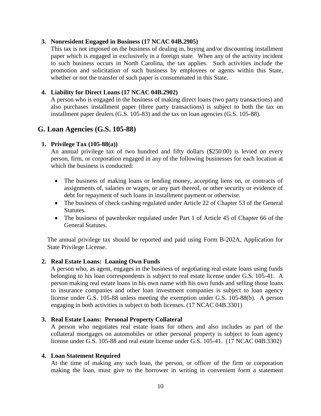#### **3. Nonresident Engaged in Business (17 NCAC 04B.2905)**

This tax is not imposed on the business of dealing in, buying and/or discounting installment paper which is engaged in exclusively in a foreign state. When any of the activity incident to such business occurs in North Carolina, the tax applies. Such activities include the promotion and solicitation of such business by employees or agents within this State, whether or not the transfer of such paper is consummated in this State.

# **4. Liability for Direct Loans (17 NCAC 04B.2902)**

A person who is engaged in the business of making direct loans (two party transactions) and also purchases installment paper (three party transactions) is subject to both the tax on installment paper dealers (G.S. 105-83) and the tax on loan agencies (G.S. 105-88).

# **G. Loan Agencies (G.S. 105-88)**

# **1. Privilege Tax (105-88(a))**

An annual privilege tax of two hundred and fifty dollars (\$250.00) is levied on every person, firm, or corporation engaged in any of the following businesses for each location at which the business is conducted:

- The business of making loans or lending money, accepting liens on, or contracts of assignments of, salaries or wages, or any part thereof, or other security or evidence of debt for repayment of such loans in installment payment or otherwise.
- The business of check cashing regulated under Article 22 of Chapter 53 of the General Statutes.
- The business of pawnbroker regulated under Part 1 of Article 45 of Chapter 66 of the General Statutes.

The annual privilege tax should be reported and paid using Form B-202A, Application for State Privilege License.

# **2. Real Estate Loans: Loaning Own Funds**

A person who, as agent, engages in the business of negotiating real estate loans using funds belonging to his loan correspondents is subject to real estate license under G.S. 105-41. A person making real estate loans in his own name with his own funds and selling those loans to insurance companies and other loan investment companies is subject to loan agency license under G.S. 105-88 unless meeting the exemption under G.S. 105-88(b). A person engaging in both activities is subject to both licenses. (17 NCAC 04B.3301)

# **3. Real Estate Loans: Personal Property Collateral**

A person who negotiates real estate loans for others and also includes as part of the collateral mortgages on automobiles or other personal property is subject to loan agency license under G.S. 105-88 and real estate license under G.S. 105-41. (17 NCAC 04B.3302)

# **4. Loan Statement Required**

At the time of making any such loan, the person, or officer of the firm or corporation making the loan, must give to the borrower in writing in convenient form a statement